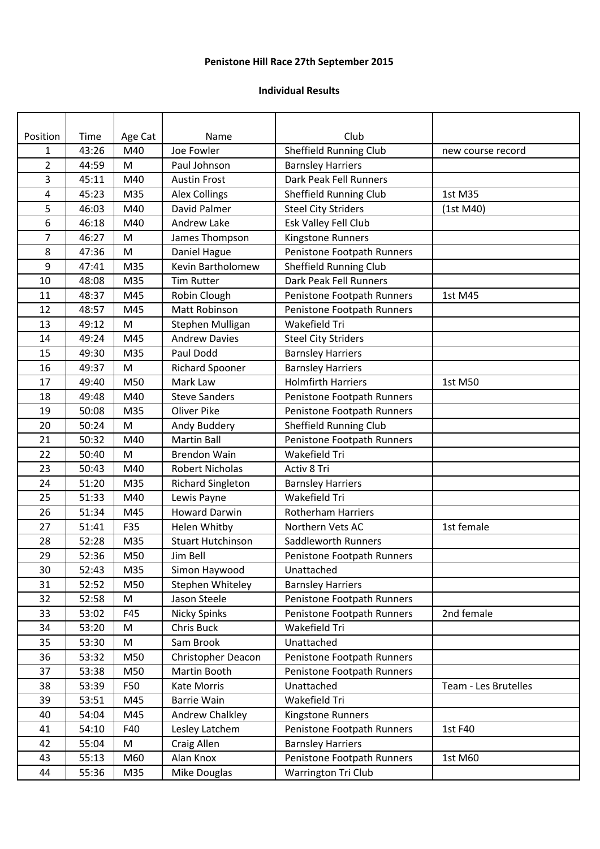## **Penistone Hill Race 27th September 2015**

## **Individual Results**

| Position       | Time  | Age Cat | Name                      | Club                       |                      |
|----------------|-------|---------|---------------------------|----------------------------|----------------------|
| $\mathbf{1}$   | 43:26 | M40     | Joe Fowler                | Sheffield Running Club     | new course record    |
| $\overline{2}$ | 44:59 | M       | Paul Johnson              | <b>Barnsley Harriers</b>   |                      |
| 3              | 45:11 | M40     | <b>Austin Frost</b>       | Dark Peak Fell Runners     |                      |
| 4              | 45:23 | M35     | <b>Alex Collings</b>      | Sheffield Running Club     | 1st M35              |
| 5              | 46:03 | M40     | David Palmer              | <b>Steel City Striders</b> | (1st M40)            |
| 6              | 46:18 | M40     | Andrew Lake               | Esk Valley Fell Club       |                      |
| $\overline{7}$ | 46:27 | M       | James Thompson            | Kingstone Runners          |                      |
| 8              | 47:36 | M       | Daniel Hague              | Penistone Footpath Runners |                      |
| 9              | 47:41 | M35     | Kevin Bartholomew         | Sheffield Running Club     |                      |
| 10             | 48:08 | M35     | <b>Tim Rutter</b>         | Dark Peak Fell Runners     |                      |
| 11             | 48:37 | M45     | Robin Clough              | Penistone Footpath Runners | 1st M45              |
| 12             | 48:57 | M45     | Matt Robinson             | Penistone Footpath Runners |                      |
| 13             | 49:12 | M       | Stephen Mulligan          | Wakefield Tri              |                      |
| 14             | 49:24 | M45     | <b>Andrew Davies</b>      | <b>Steel City Striders</b> |                      |
| 15             | 49:30 | M35     | Paul Dodd                 | <b>Barnsley Harriers</b>   |                      |
| 16             | 49:37 | M       | <b>Richard Spooner</b>    | <b>Barnsley Harriers</b>   |                      |
| 17             | 49:40 | M50     | Mark Law                  | <b>Holmfirth Harriers</b>  | 1st M50              |
| 18             | 49:48 | M40     | <b>Steve Sanders</b>      | Penistone Footpath Runners |                      |
| 19             | 50:08 | M35     | <b>Oliver Pike</b>        | Penistone Footpath Runners |                      |
| 20             | 50:24 | M       | Andy Buddery              | Sheffield Running Club     |                      |
| 21             | 50:32 | M40     | <b>Martin Ball</b>        | Penistone Footpath Runners |                      |
| 22             | 50:40 | M       | <b>Brendon Wain</b>       | Wakefield Tri              |                      |
| 23             | 50:43 | M40     | Robert Nicholas           | Activ 8 Tri                |                      |
| 24             | 51:20 | M35     | <b>Richard Singleton</b>  | <b>Barnsley Harriers</b>   |                      |
| 25             | 51:33 | M40     | Lewis Payne               | Wakefield Tri              |                      |
| 26             | 51:34 | M45     | <b>Howard Darwin</b>      | <b>Rotherham Harriers</b>  |                      |
| 27             | 51:41 | F35     | Helen Whitby              | Northern Vets AC           | 1st female           |
| 28             | 52:28 | M35     | <b>Stuart Hutchinson</b>  | Saddleworth Runners        |                      |
| 29             | 52:36 | M50     | Jim Bell                  | Penistone Footpath Runners |                      |
| 30             | 52:43 | M35     | Simon Haywood             | Unattached                 |                      |
| 31             | 52:52 | M50     | Stephen Whiteley          | <b>Barnsley Harriers</b>   |                      |
| 32             | 52:58 | M       | Jason Steele              | Penistone Footpath Runners |                      |
| 33             | 53:02 | F45     | Nicky Spinks              | Penistone Footpath Runners | 2nd female           |
| 34             | 53:20 | M       | Chris Buck                | Wakefield Tri              |                      |
| 35             | 53:30 | M       | Sam Brook                 | Unattached                 |                      |
| 36             | 53:32 | M50     | <b>Christopher Deacon</b> | Penistone Footpath Runners |                      |
| 37             | 53:38 | M50     | Martin Booth              | Penistone Footpath Runners |                      |
| 38             | 53:39 | F50     | Kate Morris               | Unattached                 | Team - Les Brutelles |
| 39             | 53:51 | M45     | <b>Barrie Wain</b>        | Wakefield Tri              |                      |
| 40             | 54:04 | M45     | Andrew Chalkley           | Kingstone Runners          |                      |
| 41             | 54:10 | F40     | Lesley Latchem            | Penistone Footpath Runners | 1st F40              |
| 42             | 55:04 | M       | Craig Allen               | <b>Barnsley Harriers</b>   |                      |
| 43             | 55:13 | M60     | Alan Knox                 | Penistone Footpath Runners | 1st M60              |
| 44             | 55:36 | M35     | Mike Douglas              | Warrington Tri Club        |                      |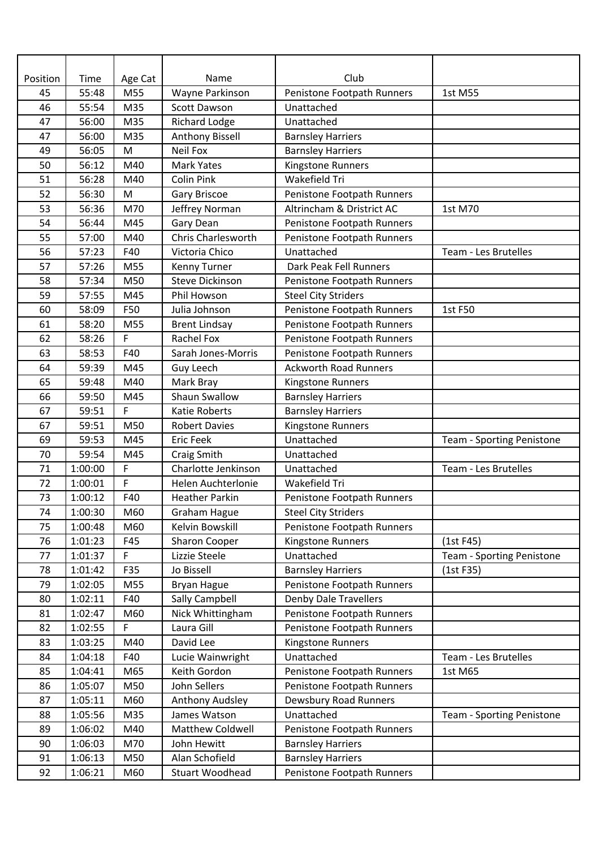| Position | Time    | Age Cat     | Name                      | Club                         |                           |
|----------|---------|-------------|---------------------------|------------------------------|---------------------------|
| 45       | 55:48   | M55         | Wayne Parkinson           | Penistone Footpath Runners   | 1st M55                   |
| 46       | 55:54   | M35         | <b>Scott Dawson</b>       | Unattached                   |                           |
| 47       | 56:00   | M35         | <b>Richard Lodge</b>      | Unattached                   |                           |
| 47       | 56:00   | M35         | <b>Anthony Bissell</b>    | <b>Barnsley Harriers</b>     |                           |
| 49       | 56:05   | M           | <b>Neil Fox</b>           | <b>Barnsley Harriers</b>     |                           |
| 50       | 56:12   | M40         | <b>Mark Yates</b>         | Kingstone Runners            |                           |
| 51       | 56:28   | M40         | <b>Colin Pink</b>         | Wakefield Tri                |                           |
| 52       | 56:30   | ${\sf M}$   | <b>Gary Briscoe</b>       | Penistone Footpath Runners   |                           |
| 53       | 56:36   | M70         | Jeffrey Norman            | Altrincham & Dristrict AC    | 1st M70                   |
| 54       | 56:44   | M45         | Gary Dean                 | Penistone Footpath Runners   |                           |
| 55       | 57:00   | M40         | Chris Charlesworth        | Penistone Footpath Runners   |                           |
| 56       | 57:23   | F40         | Victoria Chico            | Unattached                   | Team - Les Brutelles      |
| 57       | 57:26   | M55         | Kenny Turner              | Dark Peak Fell Runners       |                           |
| 58       | 57:34   | M50         | <b>Steve Dickinson</b>    | Penistone Footpath Runners   |                           |
| 59       | 57:55   | M45         | Phil Howson               | <b>Steel City Striders</b>   |                           |
| 60       | 58:09   | F50         | Julia Johnson             | Penistone Footpath Runners   | 1st F50                   |
| 61       | 58:20   | M55         | <b>Brent Lindsay</b>      | Penistone Footpath Runners   |                           |
| 62       | 58:26   | F           | <b>Rachel Fox</b>         | Penistone Footpath Runners   |                           |
| 63       | 58:53   | F40         | Sarah Jones-Morris        | Penistone Footpath Runners   |                           |
| 64       | 59:39   | M45         | Guy Leech                 | <b>Ackworth Road Runners</b> |                           |
| 65       | 59:48   | M40         | Mark Bray                 | Kingstone Runners            |                           |
| 66       | 59:50   | M45         | <b>Shaun Swallow</b>      | <b>Barnsley Harriers</b>     |                           |
| 67       | 59:51   | F           | Katie Roberts             | <b>Barnsley Harriers</b>     |                           |
| 67       | 59:51   | M50         | <b>Robert Davies</b>      | Kingstone Runners            |                           |
| 69       | 59:53   | M45         | <b>Eric Feek</b>          | Unattached                   | Team - Sporting Penistone |
| 70       | 59:54   | M45         | Craig Smith               | Unattached                   |                           |
| 71       | 1:00:00 | $\mathsf F$ | Charlotte Jenkinson       | Unattached                   | Team - Les Brutelles      |
| 72       | 1:00:01 | F           | <b>Helen Auchterlonie</b> | Wakefield Tri                |                           |
| 73       | 1:00:12 | F40         | <b>Heather Parkin</b>     | Penistone Footpath Runners   |                           |
| 74       | 1:00:30 | M60         | <b>Graham Hague</b>       | <b>Steel City Striders</b>   |                           |
| 75       | 1:00:48 | M60         | Kelvin Bowskill           | Penistone Footpath Runners   |                           |
| 76       | 1:01:23 | F45         | <b>Sharon Cooper</b>      | Kingstone Runners            | (1st F45)                 |
| 77       | 1:01:37 | F           | Lizzie Steele             | Unattached                   | Team - Sporting Penistone |
| 78       | 1:01:42 | F35         | Jo Bissell                | <b>Barnsley Harriers</b>     | (1st F35)                 |
| 79       | 1:02:05 | M55         | <b>Bryan Hague</b>        | Penistone Footpath Runners   |                           |
| 80       | 1:02:11 | F40         | Sally Campbell            | <b>Denby Dale Travellers</b> |                           |
| 81       | 1:02:47 | M60         | Nick Whittingham          | Penistone Footpath Runners   |                           |
| 82       | 1:02:55 | F           | Laura Gill                | Penistone Footpath Runners   |                           |
| 83       | 1:03:25 | M40         | David Lee                 | Kingstone Runners            |                           |
| 84       | 1:04:18 | F40         | Lucie Wainwright          | Unattached                   | Team - Les Brutelles      |
| 85       | 1:04:41 | M65         | Keith Gordon              | Penistone Footpath Runners   | 1st M65                   |
| 86       | 1:05:07 | M50         | John Sellers              | Penistone Footpath Runners   |                           |
| 87       | 1:05:11 | M60         | Anthony Audsley           | Dewsbury Road Runners        |                           |
| 88       | 1:05:56 | M35         | James Watson              | Unattached                   | Team - Sporting Penistone |
| 89       | 1:06:02 | M40         | Matthew Coldwell          | Penistone Footpath Runners   |                           |
| 90       | 1:06:03 | M70         | John Hewitt               | <b>Barnsley Harriers</b>     |                           |
| 91       | 1:06:13 | M50         | Alan Schofield            | <b>Barnsley Harriers</b>     |                           |
| 92       | 1:06:21 | M60         | Stuart Woodhead           | Penistone Footpath Runners   |                           |